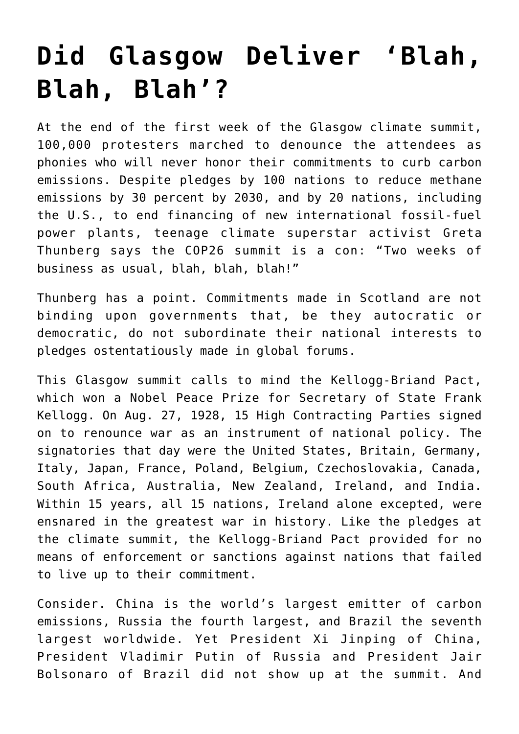## **[Did Glasgow Deliver 'Blah,](https://intellectualtakeout.org/2021/11/did-glasgow-deliver-blah-blah-blah/) [Blah, Blah'?](https://intellectualtakeout.org/2021/11/did-glasgow-deliver-blah-blah-blah/)**

At the end of the first week of the Glasgow climate summit, 100,000 protesters marched to denounce the attendees as phonies who will never honor their commitments to curb carbon emissions. Despite pledges by 100 nations to reduce methane emissions by 30 percent by 2030, and by 20 nations, including the U.S., to end financing of new international fossil-fuel power plants, teenage climate superstar activist Greta Thunberg says the COP26 summit is a con: "Two weeks of business as usual, blah, blah, blah!"

Thunberg has a point. Commitments made in Scotland are not binding upon governments that, be they autocratic or democratic, do not subordinate their national interests to pledges ostentatiously made in global forums.

This Glasgow summit calls to mind the Kellogg-Briand Pact, which won a Nobel Peace Prize for Secretary of State Frank Kellogg. On Aug. 27, 1928, 15 High Contracting Parties signed on to renounce war as an instrument of national policy. The signatories that day were the United States, Britain, Germany, Italy, Japan, France, Poland, Belgium, Czechoslovakia, Canada, South Africa, Australia, New Zealand, Ireland, and India. Within 15 years, all 15 nations, Ireland alone excepted, were ensnared in the greatest war in history. Like the pledges at the climate summit, the Kellogg-Briand Pact provided for no means of enforcement or sanctions against nations that failed to live up to their commitment.

Consider. China is the world's largest emitter of carbon emissions, Russia the fourth largest, and Brazil the seventh largest worldwide. Yet President Xi Jinping of China, President Vladimir Putin of Russia and President Jair Bolsonaro of Brazil did not show up at the summit. And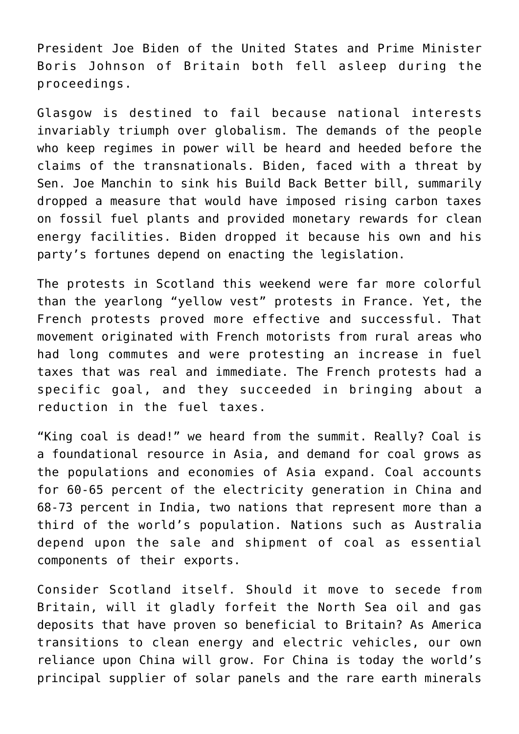President Joe Biden of the United States and Prime Minister Boris Johnson of Britain both fell asleep during the proceedings.

Glasgow is destined to fail because national interests invariably triumph over globalism. The demands of the people who keep regimes in power will be heard and heeded before the claims of the transnationals. Biden, faced with a threat by Sen. Joe Manchin to sink his Build Back Better bill, summarily dropped a measure that would have imposed rising carbon taxes on fossil fuel plants and provided monetary rewards for clean energy facilities. Biden dropped it because his own and his party's fortunes depend on enacting the legislation.

The protests in Scotland this weekend were far more colorful than the yearlong "yellow vest" protests in France. Yet, the French protests proved more effective and successful. That movement originated with French motorists from rural areas who had long commutes and were protesting an increase in fuel taxes that was real and immediate. The French protests had a specific goal, and they succeeded in bringing about a reduction in the fuel taxes.

"King coal is dead!" we heard from the summit. Really? Coal is a foundational resource in Asia, and demand for coal grows as the populations and economies of Asia expand. Coal accounts for 60-65 percent of the electricity generation in China and 68-73 percent in India, two nations that represent more than a third of the world's population. Nations such as Australia depend upon the sale and shipment of coal as essential components of their exports.

Consider Scotland itself. Should it move to secede from Britain, will it gladly forfeit the North Sea oil and gas deposits that have proven so beneficial to Britain? As America transitions to clean energy and electric vehicles, our own reliance upon China will grow. For China is today the world's principal supplier of solar panels and the rare earth minerals